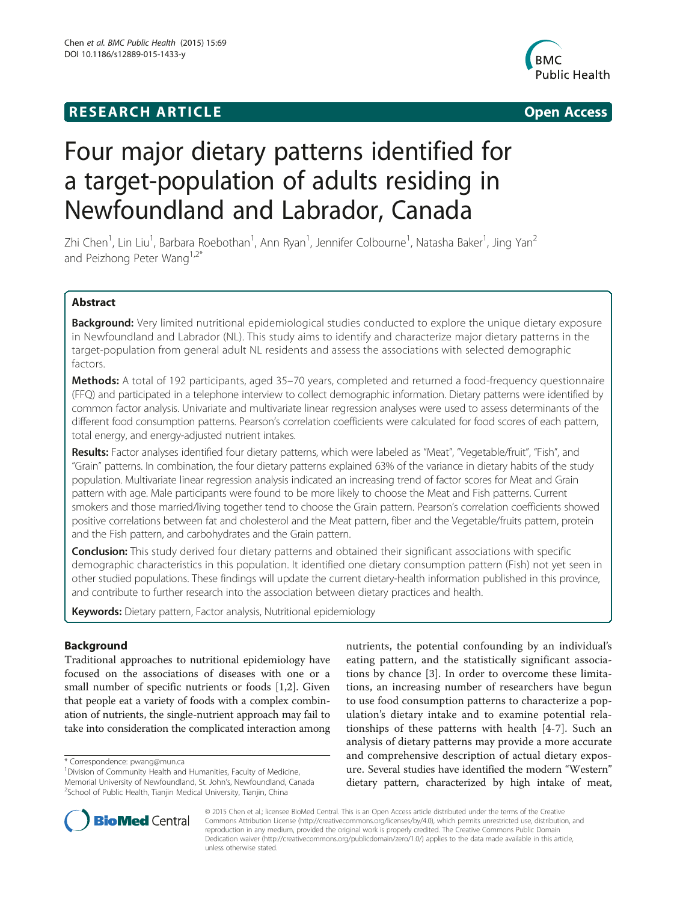# **RESEARCH ARTICLE Example 2014 CONSIDERING CONSIDERING CONSIDERING CONSIDERING CONSIDERING CONSIDERING CONSIDERING CONSIDERING CONSIDERING CONSIDERING CONSIDERING CONSIDERING CONSIDERING CONSIDERING CONSIDERING CONSIDE**



# Four major dietary patterns identified for a target-population of adults residing in Newfoundland and Labrador, Canada

Zhi Chen<sup>1</sup>, Lin Liu<sup>1</sup>, Barbara Roebothan<sup>1</sup>, Ann Ryan<sup>1</sup>, Jennifer Colbourne<sup>1</sup>, Natasha Baker<sup>1</sup>, Jing Yan<sup>2</sup> and Peizhong Peter Wang<sup>1,2\*</sup>

# Abstract

Background: Very limited nutritional epidemiological studies conducted to explore the unique dietary exposure in Newfoundland and Labrador (NL). This study aims to identify and characterize major dietary patterns in the target-population from general adult NL residents and assess the associations with selected demographic factors.

Methods: A total of 192 participants, aged 35–70 years, completed and returned a food-frequency questionnaire (FFQ) and participated in a telephone interview to collect demographic information. Dietary patterns were identified by common factor analysis. Univariate and multivariate linear regression analyses were used to assess determinants of the different food consumption patterns. Pearson's correlation coefficients were calculated for food scores of each pattern, total energy, and energy-adjusted nutrient intakes.

Results: Factor analyses identified four dietary patterns, which were labeled as "Meat", "Vegetable/fruit", "Fish", and "Grain" patterns. In combination, the four dietary patterns explained 63% of the variance in dietary habits of the study population. Multivariate linear regression analysis indicated an increasing trend of factor scores for Meat and Grain pattern with age. Male participants were found to be more likely to choose the Meat and Fish patterns. Current smokers and those married/living together tend to choose the Grain pattern. Pearson's correlation coefficients showed positive correlations between fat and cholesterol and the Meat pattern, fiber and the Vegetable/fruits pattern, protein and the Fish pattern, and carbohydrates and the Grain pattern.

**Conclusion:** This study derived four dietary patterns and obtained their significant associations with specific demographic characteristics in this population. It identified one dietary consumption pattern (Fish) not yet seen in other studied populations. These findings will update the current dietary-health information published in this province, and contribute to further research into the association between dietary practices and health.

Keywords: Dietary pattern, Factor analysis, Nutritional epidemiology

# Background

Traditional approaches to nutritional epidemiology have focused on the associations of diseases with one or a small number of specific nutrients or foods [\[1](#page-7-0),[2](#page-7-0)]. Given that people eat a variety of foods with a complex combination of nutrients, the single-nutrient approach may fail to take into consideration the complicated interaction among

nutrients, the potential confounding by an individual's eating pattern, and the statistically significant associations by chance [[3\]](#page-7-0). In order to overcome these limitations, an increasing number of researchers have begun to use food consumption patterns to characterize a population's dietary intake and to examine potential relationships of these patterns with health [\[4](#page-7-0)-[7\]](#page-7-0). Such an analysis of dietary patterns may provide a more accurate and comprehensive description of actual dietary exposure. Several studies have identified the modern "Western" dietary pattern, characterized by high intake of meat,



© 2015 Chen et al.; licensee BioMed Central. This is an Open Access article distributed under the terms of the Creative Commons Attribution License [\(http://creativecommons.org/licenses/by/4.0\)](http://creativecommons.org/licenses/by/4.0), which permits unrestricted use, distribution, and reproduction in any medium, provided the original work is properly credited. The Creative Commons Public Domain Dedication waiver [\(http://creativecommons.org/publicdomain/zero/1.0/](http://creativecommons.org/publicdomain/zero/1.0/)) applies to the data made available in this article, unless otherwise stated.

<sup>\*</sup> Correspondence: [pwang@mun.ca](mailto:pwang@mun.ca) <sup>1</sup>

<sup>&</sup>lt;sup>1</sup> Division of Community Health and Humanities, Faculty of Medicine, Memorial University of Newfoundland, St. John's, Newfoundland, Canada <sup>2</sup> <sup>2</sup>School of Public Health, Tianjin Medical University, Tianjin, China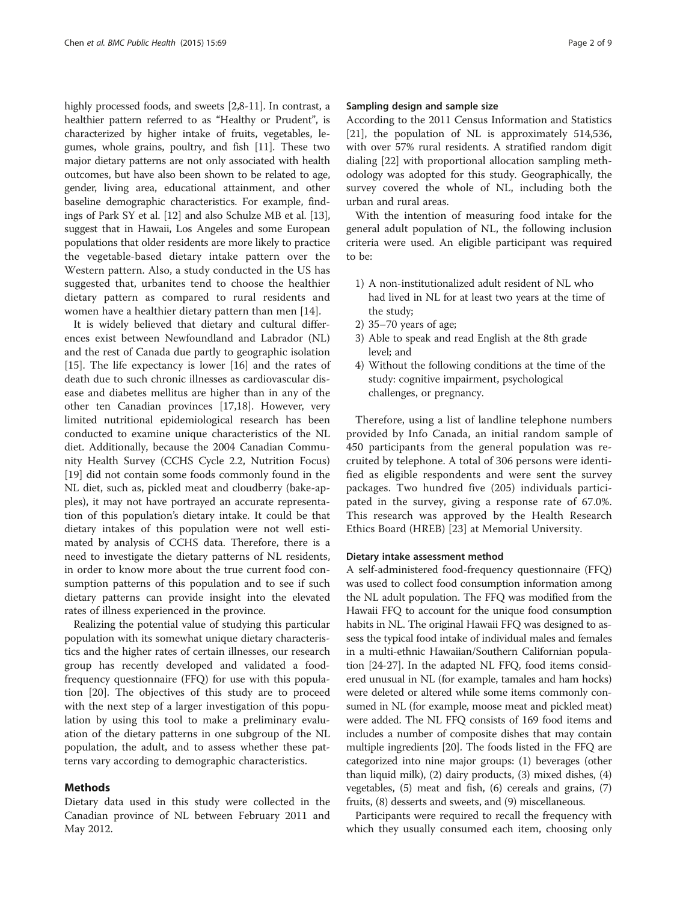highly processed foods, and sweets [[2,8](#page-7-0)-[11](#page-7-0)]. In contrast, a healthier pattern referred to as "Healthy or Prudent", is characterized by higher intake of fruits, vegetables, legumes, whole grains, poultry, and fish [\[11\]](#page-7-0). These two major dietary patterns are not only associated with health outcomes, but have also been shown to be related to age, gender, living area, educational attainment, and other baseline demographic characteristics. For example, findings of Park SY et al. [\[12\]](#page-7-0) and also Schulze MB et al. [[13](#page-7-0)], suggest that in Hawaii, Los Angeles and some European populations that older residents are more likely to practice the vegetable-based dietary intake pattern over the Western pattern. Also, a study conducted in the US has suggested that, urbanites tend to choose the healthier dietary pattern as compared to rural residents and women have a healthier dietary pattern than men [\[14](#page-7-0)].

It is widely believed that dietary and cultural differences exist between Newfoundland and Labrador (NL) and the rest of Canada due partly to geographic isolation [[15\]](#page-7-0). The life expectancy is lower [[16](#page-7-0)] and the rates of death due to such chronic illnesses as cardiovascular disease and diabetes mellitus are higher than in any of the other ten Canadian provinces [\[17,18](#page-7-0)]. However, very limited nutritional epidemiological research has been conducted to examine unique characteristics of the NL diet. Additionally, because the 2004 Canadian Community Health Survey (CCHS Cycle 2.2, Nutrition Focus) [[19\]](#page-7-0) did not contain some foods commonly found in the NL diet, such as, pickled meat and cloudberry (bake-apples), it may not have portrayed an accurate representation of this population's dietary intake. It could be that dietary intakes of this population were not well estimated by analysis of CCHS data. Therefore, there is a need to investigate the dietary patterns of NL residents, in order to know more about the true current food consumption patterns of this population and to see if such dietary patterns can provide insight into the elevated rates of illness experienced in the province.

Realizing the potential value of studying this particular population with its somewhat unique dietary characteristics and the higher rates of certain illnesses, our research group has recently developed and validated a foodfrequency questionnaire (FFQ) for use with this population [\[20](#page-7-0)]. The objectives of this study are to proceed with the next step of a larger investigation of this population by using this tool to make a preliminary evaluation of the dietary patterns in one subgroup of the NL population, the adult, and to assess whether these patterns vary according to demographic characteristics.

# Methods

Dietary data used in this study were collected in the Canadian province of NL between February 2011 and May 2012.

## Sampling design and sample size

According to the 2011 Census Information and Statistics [[21\]](#page-7-0), the population of NL is approximately 514,536, with over 57% rural residents. A stratified random digit dialing [[22](#page-7-0)] with proportional allocation sampling methodology was adopted for this study. Geographically, the survey covered the whole of NL, including both the urban and rural areas.

With the intention of measuring food intake for the general adult population of NL, the following inclusion criteria were used. An eligible participant was required to be:

- 1) A non-institutionalized adult resident of NL who had lived in NL for at least two years at the time of the study;
- 2) 35–70 years of age;
- 3) Able to speak and read English at the 8th grade level; and
- 4) Without the following conditions at the time of the study: cognitive impairment, psychological challenges, or pregnancy.

Therefore, using a list of landline telephone numbers provided by Info Canada, an initial random sample of 450 participants from the general population was recruited by telephone. A total of 306 persons were identified as eligible respondents and were sent the survey packages. Two hundred five (205) individuals participated in the survey, giving a response rate of 67.0%. This research was approved by the Health Research Ethics Board (HREB) [[23\]](#page-7-0) at Memorial University.

# Dietary intake assessment method

A self-administered food-frequency questionnaire (FFQ) was used to collect food consumption information among the NL adult population. The FFQ was modified from the Hawaii FFQ to account for the unique food consumption habits in NL. The original Hawaii FFQ was designed to assess the typical food intake of individual males and females in a multi-ethnic Hawaiian/Southern Californian population [\[24-27](#page-7-0)]. In the adapted NL FFQ, food items considered unusual in NL (for example, tamales and ham hocks) were deleted or altered while some items commonly consumed in NL (for example, moose meat and pickled meat) were added. The NL FFQ consists of 169 food items and includes a number of composite dishes that may contain multiple ingredients [[20](#page-7-0)]. The foods listed in the FFQ are categorized into nine major groups: (1) beverages (other than liquid milk), (2) dairy products, (3) mixed dishes, (4) vegetables, (5) meat and fish, (6) cereals and grains, (7) fruits, (8) desserts and sweets, and (9) miscellaneous.

Participants were required to recall the frequency with which they usually consumed each item, choosing only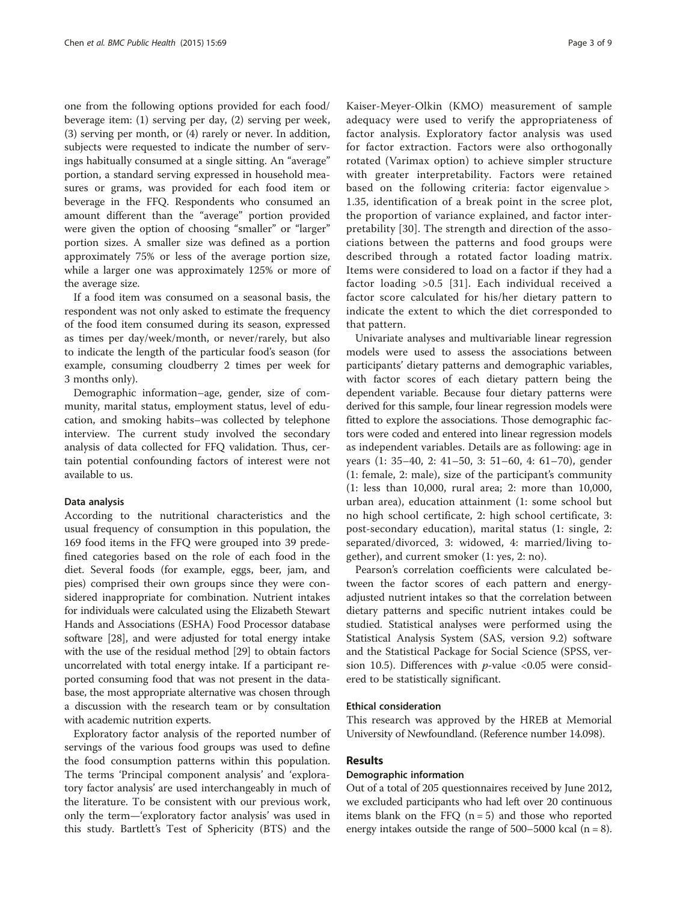one from the following options provided for each food/ beverage item: (1) serving per day, (2) serving per week, (3) serving per month, or (4) rarely or never. In addition, subjects were requested to indicate the number of servings habitually consumed at a single sitting. An "average" portion, a standard serving expressed in household measures or grams, was provided for each food item or beverage in the FFQ. Respondents who consumed an amount different than the "average" portion provided were given the option of choosing "smaller" or "larger" portion sizes. A smaller size was defined as a portion approximately 75% or less of the average portion size, while a larger one was approximately 125% or more of the average size.

If a food item was consumed on a seasonal basis, the respondent was not only asked to estimate the frequency of the food item consumed during its season, expressed as times per day/week/month, or never/rarely, but also to indicate the length of the particular food's season (for example, consuming cloudberry 2 times per week for 3 months only).

Demographic information–age, gender, size of community, marital status, employment status, level of education, and smoking habits–was collected by telephone interview. The current study involved the secondary analysis of data collected for FFQ validation. Thus, certain potential confounding factors of interest were not available to us.

#### Data analysis

According to the nutritional characteristics and the usual frequency of consumption in this population, the 169 food items in the FFQ were grouped into 39 predefined categories based on the role of each food in the diet. Several foods (for example, eggs, beer, jam, and pies) comprised their own groups since they were considered inappropriate for combination. Nutrient intakes for individuals were calculated using the Elizabeth Stewart Hands and Associations (ESHA) Food Processor database software [[28](#page-7-0)], and were adjusted for total energy intake with the use of the residual method [\[29\]](#page-7-0) to obtain factors uncorrelated with total energy intake. If a participant reported consuming food that was not present in the database, the most appropriate alternative was chosen through a discussion with the research team or by consultation with academic nutrition experts.

Exploratory factor analysis of the reported number of servings of the various food groups was used to define the food consumption patterns within this population. The terms 'Principal component analysis' and 'exploratory factor analysis' are used interchangeably in much of the literature. To be consistent with our previous work, only the term—'exploratory factor analysis' was used in this study. Bartlett's Test of Sphericity (BTS) and the

Kaiser-Meyer-Olkin (KMO) measurement of sample adequacy were used to verify the appropriateness of factor analysis. Exploratory factor analysis was used for factor extraction. Factors were also orthogonally rotated (Varimax option) to achieve simpler structure with greater interpretability. Factors were retained based on the following criteria: factor eigenvalue > 1.35, identification of a break point in the scree plot, the proportion of variance explained, and factor interpretability [[30](#page-7-0)]. The strength and direction of the associations between the patterns and food groups were described through a rotated factor loading matrix. Items were considered to load on a factor if they had a factor loading >0.5 [[31\]](#page-7-0). Each individual received a factor score calculated for his/her dietary pattern to indicate the extent to which the diet corresponded to that pattern.

Univariate analyses and multivariable linear regression models were used to assess the associations between participants' dietary patterns and demographic variables, with factor scores of each dietary pattern being the dependent variable. Because four dietary patterns were derived for this sample, four linear regression models were fitted to explore the associations. Those demographic factors were coded and entered into linear regression models as independent variables. Details are as following: age in years (1: 35–40, 2: 41–50, 3: 51–60, 4: 61–70), gender (1: female, 2: male), size of the participant's community (1: less than 10,000, rural area; 2: more than 10,000, urban area), education attainment (1: some school but no high school certificate, 2: high school certificate, 3: post-secondary education), marital status (1: single, 2: separated/divorced, 3: widowed, 4: married/living together), and current smoker (1: yes, 2: no).

Pearson's correlation coefficients were calculated between the factor scores of each pattern and energyadjusted nutrient intakes so that the correlation between dietary patterns and specific nutrient intakes could be studied. Statistical analyses were performed using the Statistical Analysis System (SAS, version 9.2) software and the Statistical Package for Social Science (SPSS, version 10.5). Differences with  $p$ -value <0.05 were considered to be statistically significant.

#### Ethical consideration

This research was approved by the HREB at Memorial University of Newfoundland. (Reference number 14.098).

# Results

## Demographic information

Out of a total of 205 questionnaires received by June 2012, we excluded participants who had left over 20 continuous items blank on the FFQ  $(n = 5)$  and those who reported energy intakes outside the range of  $500-5000$  kcal (n = 8).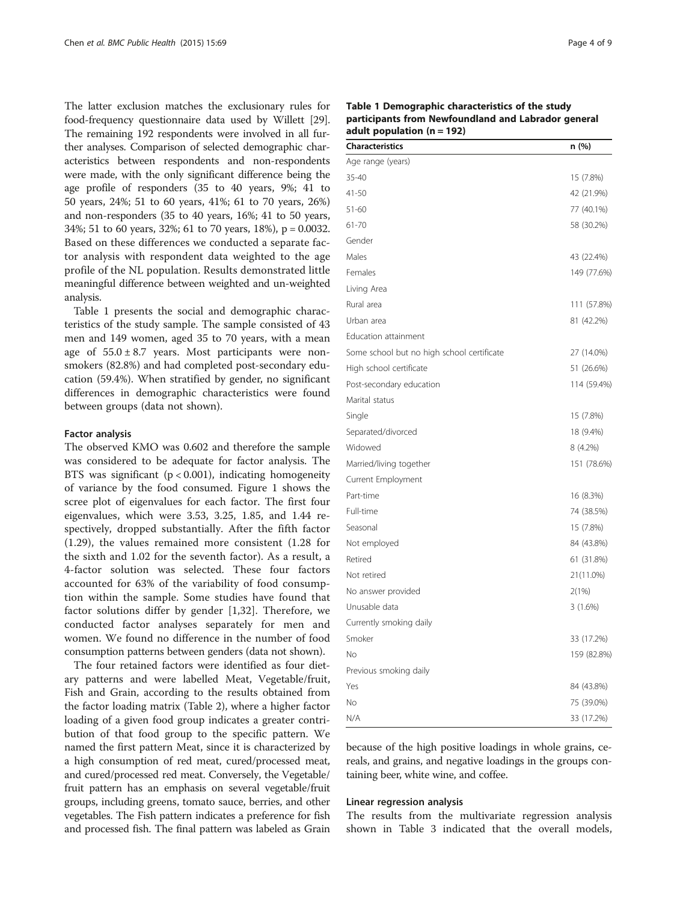The latter exclusion matches the exclusionary rules for food-frequency questionnaire data used by Willett [[29](#page-7-0)]. The remaining 192 respondents were involved in all further analyses. Comparison of selected demographic characteristics between respondents and non-respondents were made, with the only significant difference being the age profile of responders (35 to 40 years, 9%; 41 to 50 years, 24%; 51 to 60 years, 41%; 61 to 70 years, 26%) and non-responders (35 to 40 years, 16%; 41 to 50 years, 34%; 51 to 60 years, 32%; 61 to 70 years, 18%), p = 0.0032. Based on these differences we conducted a separate factor analysis with respondent data weighted to the age profile of the NL population. Results demonstrated little meaningful difference between weighted and un-weighted analysis.

Table 1 presents the social and demographic characteristics of the study sample. The sample consisted of 43 men and 149 women, aged 35 to 70 years, with a mean age of  $55.0 \pm 8.7$  years. Most participants were nonsmokers (82.8%) and had completed post-secondary education (59.4%). When stratified by gender, no significant differences in demographic characteristics were found between groups (data not shown).

# Factor analysis

The observed KMO was 0.602 and therefore the sample was considered to be adequate for factor analysis. The BTS was significant ( $p < 0.001$ ), indicating homogeneity of variance by the food consumed. Figure [1](#page-4-0) shows the scree plot of eigenvalues for each factor. The first four eigenvalues, which were 3.53, 3.25, 1.85, and 1.44 respectively, dropped substantially. After the fifth factor (1.29), the values remained more consistent (1.28 for the sixth and 1.02 for the seventh factor). As a result, a 4-factor solution was selected. These four factors accounted for 63% of the variability of food consumption within the sample. Some studies have found that factor solutions differ by gender [\[1](#page-7-0)[,32](#page-8-0)]. Therefore, we conducted factor analyses separately for men and women. We found no difference in the number of food consumption patterns between genders (data not shown).

The four retained factors were identified as four dietary patterns and were labelled Meat, Vegetable/fruit, Fish and Grain, according to the results obtained from the factor loading matrix (Table [2\)](#page-5-0), where a higher factor loading of a given food group indicates a greater contribution of that food group to the specific pattern. We named the first pattern Meat, since it is characterized by a high consumption of red meat, cured/processed meat, and cured/processed red meat. Conversely, the Vegetable/ fruit pattern has an emphasis on several vegetable/fruit groups, including greens, tomato sauce, berries, and other vegetables. The Fish pattern indicates a preference for fish and processed fish. The final pattern was labeled as Grain

|  | Page 4 of 9 |  |  |  |
|--|-------------|--|--|--|
|--|-------------|--|--|--|

| Table 1 Demographic characteristics of the study    |
|-----------------------------------------------------|
| participants from Newfoundland and Labrador general |
| adult population $(n = 192)$                        |

| <b>Characteristics</b>                     | n (%)       |
|--------------------------------------------|-------------|
| Age range (years)                          |             |
| 35-40                                      | 15 (7.8%)   |
| 41-50                                      | 42 (21.9%)  |
| $51 - 60$                                  | 77 (40.1%)  |
| 61-70                                      | 58 (30.2%)  |
| Gender                                     |             |
| Males                                      | 43 (22.4%)  |
| Females                                    | 149 (77.6%) |
| Living Area                                |             |
| Rural area                                 | 111 (57.8%) |
| Urban area                                 | 81 (42.2%)  |
| Education attainment                       |             |
| Some school but no high school certificate | 27 (14.0%)  |
| High school certificate                    | 51 (26.6%)  |
| Post-secondary education                   | 114 (59.4%) |
| Marital status                             |             |
| Single                                     | 15 (7.8%)   |
| Separated/divorced                         | 18 (9.4%)   |
| Widowed                                    | 8 (4.2%)    |
| Married/living together                    | 151 (78.6%) |
| Current Employment                         |             |
| Part-time                                  | 16 (8.3%)   |
| Full-time                                  | 74 (38.5%)  |
| Seasonal                                   | 15 (7.8%)   |
| Not employed                               | 84 (43.8%)  |
| Retired                                    | 61 (31.8%)  |
| Not retired                                | 21(11.0%)   |
| No answer provided                         | 2(1%)       |
| Unusable data                              | 3(1.6%)     |
| Currently smoking daily                    |             |
| Smoker                                     | 33 (17.2%)  |
| No                                         | 159 (82.8%) |
| Previous smoking daily                     |             |
| Yes                                        | 84 (43.8%)  |
| No                                         | 75 (39.0%)  |
| N/A                                        | 33 (17.2%)  |

because of the high positive loadings in whole grains, cereals, and grains, and negative loadings in the groups containing beer, white wine, and coffee.

## Linear regression analysis

The results from the multivariate regression analysis shown in Table [3](#page-5-0) indicated that the overall models,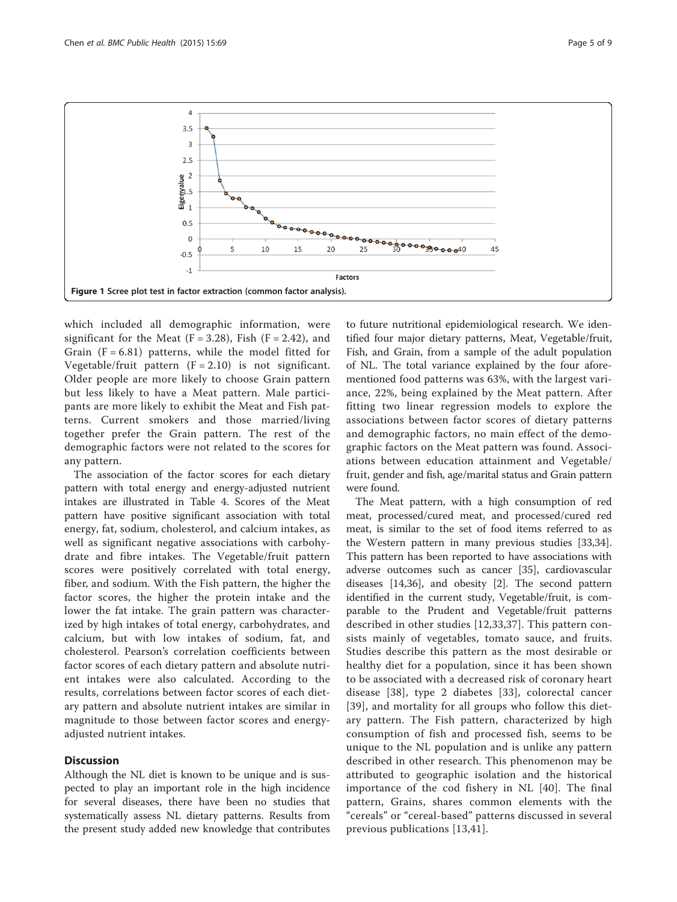<span id="page-4-0"></span>

which included all demographic information, were significant for the Meat (F = 3.28), Fish (F = 2.42), and Grain  $(F = 6.81)$  patterns, while the model fitted for Vegetable/fruit pattern  $(F = 2.10)$  is not significant. Older people are more likely to choose Grain pattern but less likely to have a Meat pattern. Male participants are more likely to exhibit the Meat and Fish patterns. Current smokers and those married/living together prefer the Grain pattern. The rest of the demographic factors were not related to the scores for any pattern.

The association of the factor scores for each dietary pattern with total energy and energy-adjusted nutrient intakes are illustrated in Table [4](#page-5-0). Scores of the Meat pattern have positive significant association with total energy, fat, sodium, cholesterol, and calcium intakes, as well as significant negative associations with carbohydrate and fibre intakes. The Vegetable/fruit pattern scores were positively correlated with total energy, fiber, and sodium. With the Fish pattern, the higher the factor scores, the higher the protein intake and the lower the fat intake. The grain pattern was characterized by high intakes of total energy, carbohydrates, and calcium, but with low intakes of sodium, fat, and cholesterol. Pearson's correlation coefficients between factor scores of each dietary pattern and absolute nutrient intakes were also calculated. According to the results, correlations between factor scores of each dietary pattern and absolute nutrient intakes are similar in magnitude to those between factor scores and energyadjusted nutrient intakes.

# **Discussion**

Although the NL diet is known to be unique and is suspected to play an important role in the high incidence for several diseases, there have been no studies that systematically assess NL dietary patterns. Results from the present study added new knowledge that contributes

to future nutritional epidemiological research. We identified four major dietary patterns, Meat, Vegetable/fruit, Fish, and Grain, from a sample of the adult population of NL. The total variance explained by the four aforementioned food patterns was 63%, with the largest variance, 22%, being explained by the Meat pattern. After fitting two linear regression models to explore the associations between factor scores of dietary patterns and demographic factors, no main effect of the demographic factors on the Meat pattern was found. Associations between education attainment and Vegetable/ fruit, gender and fish, age/marital status and Grain pattern were found.

The Meat pattern, with a high consumption of red meat, processed/cured meat, and processed/cured red meat, is similar to the set of food items referred to as the Western pattern in many previous studies [\[33,34](#page-8-0)]. This pattern has been reported to have associations with adverse outcomes such as cancer [\[35](#page-8-0)], cardiovascular diseases [\[14,](#page-7-0)[36\]](#page-8-0), and obesity [\[2\]](#page-7-0). The second pattern identified in the current study, Vegetable/fruit, is comparable to the Prudent and Vegetable/fruit patterns described in other studies [\[12,](#page-7-0)[33,37\]](#page-8-0). This pattern consists mainly of vegetables, tomato sauce, and fruits. Studies describe this pattern as the most desirable or healthy diet for a population, since it has been shown to be associated with a decreased risk of coronary heart disease [[38\]](#page-8-0), type 2 diabetes [\[33\]](#page-8-0), colorectal cancer [[39](#page-8-0)], and mortality for all groups who follow this dietary pattern. The Fish pattern, characterized by high consumption of fish and processed fish, seems to be unique to the NL population and is unlike any pattern described in other research. This phenomenon may be attributed to geographic isolation and the historical importance of the cod fishery in NL [[40\]](#page-8-0). The final pattern, Grains, shares common elements with the "cereals" or "cereal-based" patterns discussed in several previous publications [\[13,](#page-7-0)[41](#page-8-0)].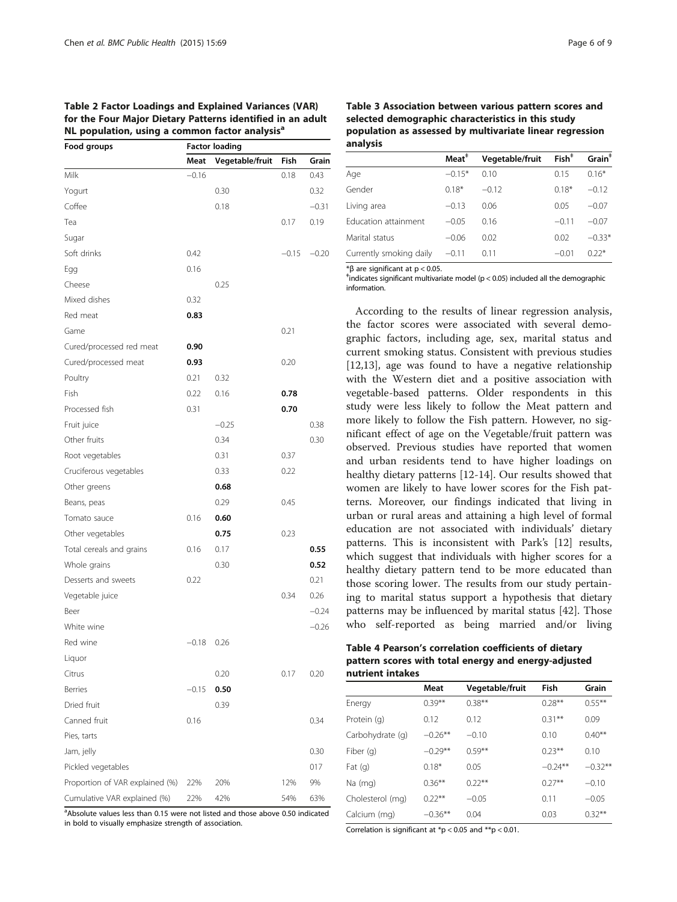<span id="page-5-0"></span>

| Table 2 Factor Loadings and Explained Variances (VAR)      |
|------------------------------------------------------------|
| for the Four Major Dietary Patterns identified in an adult |
| NL population, using a common factor analysis <sup>a</sup> |

| <b>Factor loading</b><br>Food groups |         |                 |         |         |
|--------------------------------------|---------|-----------------|---------|---------|
|                                      | Meat    | Vegetable/fruit | Fish    | Grain   |
| Milk                                 | $-0.16$ |                 | 0.18    | 0.43    |
| Yogurt                               |         | 0.30            |         | 0.32    |
| Coffee                               |         | 0.18            |         | $-0.31$ |
| Tea                                  |         |                 | 0.17    | 0.19    |
| Sugar                                |         |                 |         |         |
| Soft drinks                          | 0.42    |                 | $-0.15$ | $-0.20$ |
| Egg                                  | 0.16    |                 |         |         |
| Cheese                               |         | 0.25            |         |         |
| Mixed dishes                         | 0.32    |                 |         |         |
| Red meat                             | 0.83    |                 |         |         |
| Game                                 |         |                 | 0.21    |         |
| Cured/processed red meat             | 0.90    |                 |         |         |
| Cured/processed meat                 | 0.93    |                 | 0.20    |         |
| Poultry                              | 0.21    | 0.32            |         |         |
| Fish                                 | 0.22    | 0.16            | 0.78    |         |
| Processed fish                       | 0.31    |                 | 0.70    |         |
| Fruit juice                          |         | $-0.25$         |         | 0.38    |
| Other fruits                         |         | 0.34            |         | 0.30    |
| Root vegetables                      |         | 0.31            | 0.37    |         |
| Cruciferous vegetables               |         | 0.33            | 0.22    |         |
| Other greens                         |         | 0.68            |         |         |
| Beans, peas                          |         | 0.29            | 0.45    |         |
| Tomato sauce                         | 0.16    | 0.60            |         |         |
| Other vegetables                     |         | 0.75            | 0.23    |         |
| Total cereals and grains             | 0.16    | 0.17            |         | 0.55    |
| Whole grains                         |         | 0.30            |         | 0.52    |
| Desserts and sweets                  | 0.22    |                 |         | 0.21    |
| Vegetable juice                      |         |                 | 0.34    | 0.26    |
| Beer                                 |         |                 |         | $-0.24$ |
| White wine                           |         |                 |         | $-0.26$ |
| Red wine                             | $-0.18$ | 0.26            |         |         |
| Liquor                               |         |                 |         |         |
| Citrus                               |         | 0.20            | 0.17    | 0.20    |
| <b>Berries</b>                       | $-0.15$ | 0.50            |         |         |
| Dried fruit                          |         | 0.39            |         |         |
| Canned fruit                         | 0.16    |                 |         | 0.34    |
| Pies, tarts                          |         |                 |         |         |
| Jam, jelly                           |         |                 |         | 0.30    |
| Pickled vegetables                   |         |                 |         | 017     |
| Proportion of VAR explained (%)      | 22%     | 20%             | 12%     | 9%      |
| Cumulative VAR explained (%)         | 22%     | 42%             | 54%     | 63%     |

<sup>a</sup>Absolute values less than 0.15 were not listed and those above 0.50 indicated in bold to visually emphasize strength of association.

| Table 3 Association between various pattern scores and               |  |
|----------------------------------------------------------------------|--|
| selected demographic characteristics in this study                   |  |
| population as assessed by multivariate linear regression<br>analysis |  |

|                         | $M$ eat $^*$ | <b>Vegetable/fruit</b> | $Fish^*$ | $G$ rain <sup><math>#</math></sup> |
|-------------------------|--------------|------------------------|----------|------------------------------------|
| Age                     | $-0.15*$     | 0.10                   | 0.15     | $0.16*$                            |
| Gender                  | $0.18*$      | $-0.12$                | $0.18*$  | $-0.12$                            |
| Living area             | $-0.13$      | 0.06                   | 0.05     | $-0.07$                            |
| Education attainment    | $-0.05$      | 0.16                   | $-0.11$  | $-0.07$                            |
| Marital status          | $-0.06$      | 0.02                   | 0.02     | $-0.33*$                           |
| Currently smoking daily | $-0.11$      | 0.11                   | $-0.01$  | $0.22*$                            |

 $*β$  are significant at  $p < 0.05$ .

 $*$ indicates significant multivariate model (p < 0.05) included all the demographic information.

According to the results of linear regression analysis, the factor scores were associated with several demographic factors, including age, sex, marital status and current smoking status. Consistent with previous studies [[12,13\]](#page-7-0), age was found to have a negative relationship with the Western diet and a positive association with vegetable-based patterns. Older respondents in this study were less likely to follow the Meat pattern and more likely to follow the Fish pattern. However, no significant effect of age on the Vegetable/fruit pattern was observed. Previous studies have reported that women and urban residents tend to have higher loadings on healthy dietary patterns [[12-14\]](#page-7-0). Our results showed that women are likely to have lower scores for the Fish patterns. Moreover, our findings indicated that living in urban or rural areas and attaining a high level of formal education are not associated with individuals' dietary patterns. This is inconsistent with Park's [[12\]](#page-7-0) results, which suggest that individuals with higher scores for a healthy dietary pattern tend to be more educated than those scoring lower. The results from our study pertaining to marital status support a hypothesis that dietary patterns may be influenced by marital status [\[42\]](#page-8-0). Those who self-reported as being married and/or living

# Table 4 Pearson's correlation coefficients of dietary pattern scores with total energy and energy-adjusted nutrient intakes

|                  | Meat      | Vegetable/fruit | Fish      | Grain     |
|------------------|-----------|-----------------|-----------|-----------|
| Energy           | $0.39***$ | $0.38***$       | $0.28***$ | $0.55***$ |
| Protein (g)      | 0.12      | 0.12            | $0.31***$ | 0.09      |
| Carbohydrate (g) | $-0.26**$ | $-0.10$         | 0.10      | $0.40***$ |
| Fiber (g)        | $-0.29**$ | $0.59***$       | $0.23***$ | 010       |
| Fat $(q)$        | $0.18*$   | 0.05            | $-0.24**$ | $-0.32**$ |
| Na (mg)          | $0.36***$ | $0.22***$       | $0.27***$ | $-0.10$   |
| Cholesterol (mg) | $0.22***$ | $-0.05$         | 0.11      | $-0.05$   |
| Calcium (mg)     | $-0.36**$ | 0.04            | 0.03      | $0.32***$ |

Correlation is significant at  $p < 0.05$  and  $\frac{4+p}{p} < 0.01$ .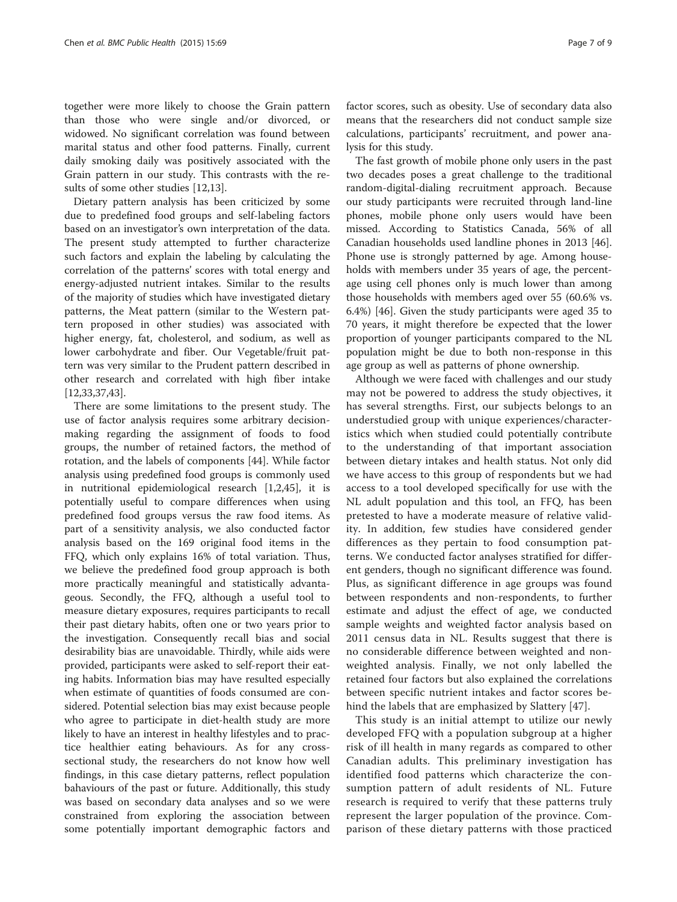together were more likely to choose the Grain pattern than those who were single and/or divorced, or widowed. No significant correlation was found between marital status and other food patterns. Finally, current daily smoking daily was positively associated with the Grain pattern in our study. This contrasts with the results of some other studies [[12](#page-7-0),[13](#page-7-0)].

Dietary pattern analysis has been criticized by some due to predefined food groups and self-labeling factors based on an investigator's own interpretation of the data. The present study attempted to further characterize such factors and explain the labeling by calculating the correlation of the patterns' scores with total energy and energy-adjusted nutrient intakes. Similar to the results of the majority of studies which have investigated dietary patterns, the Meat pattern (similar to the Western pattern proposed in other studies) was associated with higher energy, fat, cholesterol, and sodium, as well as lower carbohydrate and fiber. Our Vegetable/fruit pattern was very similar to the Prudent pattern described in other research and correlated with high fiber intake [[12,](#page-7-0)[33,37,43\]](#page-8-0).

There are some limitations to the present study. The use of factor analysis requires some arbitrary decisionmaking regarding the assignment of foods to food groups, the number of retained factors, the method of rotation, and the labels of components [\[44](#page-8-0)]. While factor analysis using predefined food groups is commonly used in nutritional epidemiological research [[1,2,](#page-7-0)[45\]](#page-8-0), it is potentially useful to compare differences when using predefined food groups versus the raw food items. As part of a sensitivity analysis, we also conducted factor analysis based on the 169 original food items in the FFQ, which only explains 16% of total variation. Thus, we believe the predefined food group approach is both more practically meaningful and statistically advantageous. Secondly, the FFQ, although a useful tool to measure dietary exposures, requires participants to recall their past dietary habits, often one or two years prior to the investigation. Consequently recall bias and social desirability bias are unavoidable. Thirdly, while aids were provided, participants were asked to self-report their eating habits. Information bias may have resulted especially when estimate of quantities of foods consumed are considered. Potential selection bias may exist because people who agree to participate in diet-health study are more likely to have an interest in healthy lifestyles and to practice healthier eating behaviours. As for any crosssectional study, the researchers do not know how well findings, in this case dietary patterns, reflect population bahaviours of the past or future. Additionally, this study was based on secondary data analyses and so we were constrained from exploring the association between some potentially important demographic factors and

factor scores, such as obesity. Use of secondary data also means that the researchers did not conduct sample size calculations, participants' recruitment, and power analysis for this study.

The fast growth of mobile phone only users in the past two decades poses a great challenge to the traditional random-digital-dialing recruitment approach. Because our study participants were recruited through land-line phones, mobile phone only users would have been missed. According to Statistics Canada, 56% of all Canadian households used landline phones in 2013 [\[46](#page-8-0)]. Phone use is strongly patterned by age. Among households with members under 35 years of age, the percentage using cell phones only is much lower than among those households with members aged over 55 (60.6% vs. 6.4%) [\[46](#page-8-0)]. Given the study participants were aged 35 to 70 years, it might therefore be expected that the lower proportion of younger participants compared to the NL population might be due to both non-response in this age group as well as patterns of phone ownership.

Although we were faced with challenges and our study may not be powered to address the study objectives, it has several strengths. First, our subjects belongs to an understudied group with unique experiences/characteristics which when studied could potentially contribute to the understanding of that important association between dietary intakes and health status. Not only did we have access to this group of respondents but we had access to a tool developed specifically for use with the NL adult population and this tool, an FFQ, has been pretested to have a moderate measure of relative validity. In addition, few studies have considered gender differences as they pertain to food consumption patterns. We conducted factor analyses stratified for different genders, though no significant difference was found. Plus, as significant difference in age groups was found between respondents and non-respondents, to further estimate and adjust the effect of age, we conducted sample weights and weighted factor analysis based on 2011 census data in NL. Results suggest that there is no considerable difference between weighted and nonweighted analysis. Finally, we not only labelled the retained four factors but also explained the correlations between specific nutrient intakes and factor scores behind the labels that are emphasized by Slattery [[47](#page-8-0)].

This study is an initial attempt to utilize our newly developed FFQ with a population subgroup at a higher risk of ill health in many regards as compared to other Canadian adults. This preliminary investigation has identified food patterns which characterize the consumption pattern of adult residents of NL. Future research is required to verify that these patterns truly represent the larger population of the province. Comparison of these dietary patterns with those practiced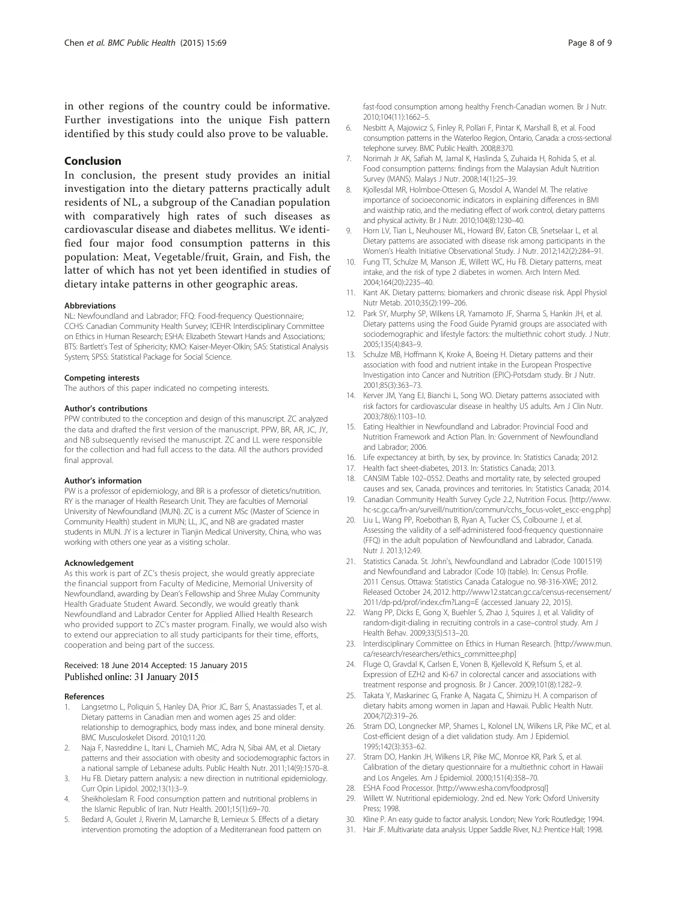<span id="page-7-0"></span>in other regions of the country could be informative. Further investigations into the unique Fish pattern identified by this study could also prove to be valuable.

# Conclusion

In conclusion, the present study provides an initial investigation into the dietary patterns practically adult residents of NL, a subgroup of the Canadian population with comparatively high rates of such diseases as cardiovascular disease and diabetes mellitus. We identified four major food consumption patterns in this population: Meat, Vegetable/fruit, Grain, and Fish, the latter of which has not yet been identified in studies of dietary intake patterns in other geographic areas.

#### Abbreviations

NL: Newfoundland and Labrador; FFQ: Food-frequency Questionnaire; CCHS: Canadian Community Health Survey; ICEHR: Interdisciplinary Committee on Ethics in Human Research; ESHA: Elizabeth Stewart Hands and Associations; BTS: Bartlett's Test of Sphericity; KMO: Kaiser-Meyer-Olkin; SAS: Statistical Analysis System; SPSS: Statistical Package for Social Science.

#### Competing interests

The authors of this paper indicated no competing interests.

#### Author's contributions

PPW contributed to the conception and design of this manuscript. ZC analyzed the data and drafted the first version of the manuscript. PPW, BR, AR, JC, JY, and NB subsequently revised the manuscript. ZC and LL were responsible for the collection and had full access to the data. All the authors provided final approval.

#### Author's information

PW is a professor of epidemiology, and BR is a professor of dietetics/nutrition. RY is the manager of Health Research Unit. They are faculties of Memorial University of Newfoundland (MUN). ZC is a current MSc (Master of Science in Community Health) student in MUN; LL, JC, and NB are gradated master students in MUN. JY is a lecturer in Tianjin Medical University, China, who was working with others one year as a visiting scholar.

#### Acknowledgement

As this work is part of ZC's thesis project, she would greatly appreciate the financial support from Faculty of Medicine, Memorial University of Newfoundland, awarding by Dean's Fellowship and Shree Mulay Community Health Graduate Student Award. Secondly, we would greatly thank Newfoundland and Labrador Center for Applied Allied Health Research who provided support to ZC's master program. Finally, we would also wish to extend our appreciation to all study participants for their time, efforts, cooperation and being part of the success.

#### Received: 18 June 2014 Accepted: 15 January 2015 Published online: 31 January 2015

#### References

- Langsetmo L, Poliquin S, Hanley DA, Prior JC, Barr S, Anastassiades T, et al. Dietary patterns in Canadian men and women ages 25 and older: relationship to demographics, body mass index, and bone mineral density. BMC Musculoskelet Disord. 2010;11:20.
- 2. Naja F, Nasreddine L, Itani L, Chamieh MC, Adra N, Sibai AM, et al. Dietary patterns and their association with obesity and sociodemographic factors in a national sample of Lebanese adults. Public Health Nutr. 2011;14(9):1570–8.
- 3. Hu FB. Dietary pattern analysis: a new direction in nutritional epidemiology. Curr Opin Lipidol. 2002;13(1):3–9.
- 4. Sheikholeslam R. Food consumption pattern and nutritional problems in the Islamic Republic of Iran. Nutr Health. 2001;15(1):69–70.
- 5. Bedard A, Goulet J, Riverin M, Lamarche B, Lemieux S. Effects of a dietary intervention promoting the adoption of a Mediterranean food pattern on

fast-food consumption among healthy French-Canadian women. Br J Nutr. 2010;104(11):1662–5.

- 6. Nesbitt A, Majowicz S, Finley R, Pollari F, Pintar K, Marshall B, et al. Food consumption patterns in the Waterloo Region, Ontario, Canada: a cross-sectional telephone survey. BMC Public Health. 2008;8:370.
- 7. Norimah Jr AK, Safiah M, Jamal K, Haslinda S, Zuhaida H, Rohida S, et al. Food consumption patterns: findings from the Malaysian Adult Nutrition Survey (MANS). Malays J Nutr. 2008;14(1):25–39.
- 8. Kjollesdal MR, Holmboe-Ottesen G, Mosdol A, Wandel M. The relative importance of socioeconomic indicators in explaining differences in BMI and waist:hip ratio, and the mediating effect of work control, dietary patterns and physical activity. Br J Nutr. 2010;104(8):1230–40.
- 9. Horn LV, Tian L, Neuhouser ML, Howard BV, Eaton CB, Snetselaar L, et al. Dietary patterns are associated with disease risk among participants in the Women's Health Initiative Observational Study. J Nutr. 2012;142(2):284–91.
- 10. Fung TT, Schulze M, Manson JE, Willett WC, Hu FB. Dietary patterns, meat intake, and the risk of type 2 diabetes in women. Arch Intern Med. 2004;164(20):2235–40.
- 11. Kant AK. Dietary patterns: biomarkers and chronic disease risk. Appl Physiol Nutr Metab. 2010;35(2):199–206.
- 12. Park SY, Murphy SP, Wilkens LR, Yamamoto JF, Sharma S, Hankin JH, et al. Dietary patterns using the Food Guide Pyramid groups are associated with sociodemographic and lifestyle factors: the multiethnic cohort study. J Nutr. 2005;135(4):843–9.
- 13. Schulze MB, Hoffmann K, Kroke A, Boeing H. Dietary patterns and their association with food and nutrient intake in the European Prospective Investigation into Cancer and Nutrition (EPIC)-Potsdam study. Br J Nutr. 2001;85(3):363–73.
- 14. Kerver JM, Yang EJ, Bianchi L, Song WO. Dietary patterns associated with risk factors for cardiovascular disease in healthy US adults. Am J Clin Nutr. 2003;78(6):1103–10.
- 15. Eating Healthier in Newfoundland and Labrador: Provincial Food and Nutrition Framework and Action Plan. In: Government of Newfoundland and Labrador; 2006.
- 16. Life expectancey at birth, by sex, by province. In: Statistics Canada; 2012.
- 17. Health fact sheet-diabetes, 2013. In: Statistics Canada; 2013.
- 18. CANSIM Table 102–0552. Deaths and mortality rate, by selected grouped causes and sex, Canada, provinces and territories. In: Statistics Canada; 2014.
- 19. Canadian Community Health Survey Cycle 2.2, Nutrition Focus. [\[http://www.](http://www.hc-sc.gc.ca/fn-an/surveill/nutrition/commun/cchs_focus-volet_escc-eng.php) [hc-sc.gc.ca/fn-an/surveill/nutrition/commun/cchs\\_focus-volet\\_escc-eng.php\]](http://www.hc-sc.gc.ca/fn-an/surveill/nutrition/commun/cchs_focus-volet_escc-eng.php)
- 20. Liu L, Wang PP, Roebothan B, Ryan A, Tucker CS, Colbourne J, et al. Assessing the validity of a self-administered food-frequency questionnaire (FFQ) in the adult population of Newfoundland and Labrador, Canada. Nutr J. 2013;12:49.
- 21. Statistics Canada. St. John's, Newfoundland and Labrador (Code 1001519) and Newfoundland and Labrador (Code 10) (table). In: Census Profile. 2011 Census. Ottawa: Statistics Canada Catalogue no. 98-316-XWE; 2012. Released October 24, 2012. [http://www12.statcan.gc.ca/census-recensement/](http://www12.statcan.gc.ca/census-recensement/2011/dp-pd/prof/index.cfm?Lang=E) [2011/dp-pd/prof/index.cfm?Lang=E](http://www12.statcan.gc.ca/census-recensement/2011/dp-pd/prof/index.cfm?Lang=E) (accessed January 22, 2015).
- 22. Wang PP, Dicks E, Gong X, Buehler S, Zhao J, Squires J, et al. Validity of random-digit-dialing in recruiting controls in a case–control study. Am J Health Behav. 2009;33(5):513–20.
- 23. Interdisciplinary Committee on Ethics in Human Research. [\[http://www.mun.](http://www.mun.ca/research/researchers/ethics_committee.php) [ca/research/researchers/ethics\\_committee.php\]](http://www.mun.ca/research/researchers/ethics_committee.php)
- 24. Fluge O, Gravdal K, Carlsen E, Vonen B, Kjellevold K, Refsum S, et al. Expression of EZH2 and Ki-67 in colorectal cancer and associations with treatment response and prognosis. Br J Cancer. 2009;101(8):1282–9.
- 25. Takata Y, Maskarinec G, Franke A, Nagata C, Shimizu H. A comparison of dietary habits among women in Japan and Hawaii. Public Health Nutr. 2004;7(2):319–26.
- 26. Stram DO, Longnecker MP, Shames L, Kolonel LN, Wilkens LR, Pike MC, et al. Cost-efficient design of a diet validation study. Am J Epidemiol. 1995;142(3):353–62.
- 27. Stram DO, Hankin JH, Wilkens LR, Pike MC, Monroe KR, Park S, et al. Calibration of the dietary questionnaire for a multiethnic cohort in Hawaii and Los Angeles. Am J Epidemiol. 2000;151(4):358–70.
- 28. ESHA Food Processor. [\[http://www.esha.com/foodprosql\]](http://www.esha.com/foodprosql)
- 29. Willett W. Nutritional epidemiology. 2nd ed. New York: Oxford University Press; 1998.
- 30. Kline P. An easy guide to factor analysis. London; New York: Routledge; 1994.
- 31. Hair JF. Multivariate data analysis. Upper Saddle River, N.J: Prentice Hall; 1998.